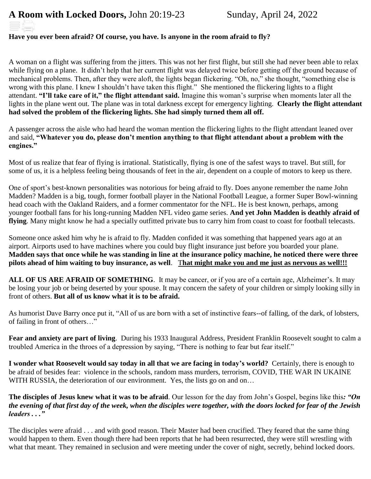### **Have you ever been afraid? Of course, you have. Is anyone in the room afraid to fly?**

A woman on a flight was suffering from the jitters. This was not her first flight, but still she had never been able to relax while flying on a plane. It didn't help that her current flight was delayed twice before getting off the ground because of mechanical problems. Then, after they were aloft, the lights began flickering. "Oh, no," she thought, "something else is wrong with this plane. I knew I shouldn't have taken this flight." She mentioned the flickering lights to a flight attendant. **"I'll take care of it," the flight attendant said.** Imagine this woman's surprise when moments later all the lights in the plane went out. The plane was in total darkness except for emergency lighting. **Clearly the flight attendant had solved the problem of the flickering lights. She had simply turned them all off.**

A passenger across the aisle who had heard the woman mention the flickering lights to the flight attendant leaned over and said, **"Whatever you do, please don't mention anything to that flight attendant about a problem with the engines."** 

Most of us realize that fear of flying is irrational. Statistically, flying is one of the safest ways to travel. But still, for some of us, it is a helpless feeling being thousands of feet in the air, dependent on a couple of motors to keep us there.

One of sport's best-known personalities was notorious for being afraid to fly. Does anyone remember the name John Madden? Madden is a big, tough, former football player in the National Football League, a former Super Bowl-winning head coach with the Oakland Raiders, and a former commentator for the NFL. He is best known, perhaps, among younger football fans for his long-running Madden NFL video game series. **And yet John Madden is deathly afraid of flying**. Many might know he had a specially outfitted private bus to carry him from coast to coast for football telecasts.

Someone once asked him why he is afraid to fly. Madden confided it was something that happened years ago at an airport. Airports used to have machines where you could buy flight insurance just before you boarded your plane. **Madden says that once while he was standing in line at the insurance policy machine, he noticed there were three pilots ahead of him waiting to buy insurance, as well**. T**hat might make you and me just as nervous as well!!!**

ALL OF US ARE AFRAID OF SOMETHING. It may be cancer, or if you are of a certain age, Alzheimer's. It may be losing your job or being deserted by your spouse. It may concern the safety of your children or simply looking silly in front of others. **But all of us know what it is to be afraid.**

As humorist Dave Barry once put it, "All of us are born with a set of instinctive fears--of falling, of the dark, of lobsters, of failing in front of others…"

**Fear and anxiety are part of living**. During his 1933 Inaugural Address, President Franklin Roosevelt sought to calm a troubled America in the throes of a depression by saying, "There is nothing to fear but fear itself."

**I wonder what Roosevelt would say today in all that we are facing in today's world?** Certainly, there is enough to be afraid of besides fear: violence in the schools, random mass murders, terrorism, COVID, THE WAR IN UKAINE WITH RUSSIA, the deterioration of our environment. Yes, the lists go on and on...

**The disciples of Jesus knew what it was to be afraid**. Our lesson for the day from John's Gospel, begins like this*: "On the evening of that first day of the week, when the disciples were together, with the doors locked for fear of the Jewish leaders . . ."*

The disciples were afraid . . . and with good reason. Their Master had been crucified. They feared that the same thing would happen to them. Even though there had been reports that he had been resurrected, they were still wrestling with what that meant. They remained in seclusion and were meeting under the cover of night, secretly, behind locked doors.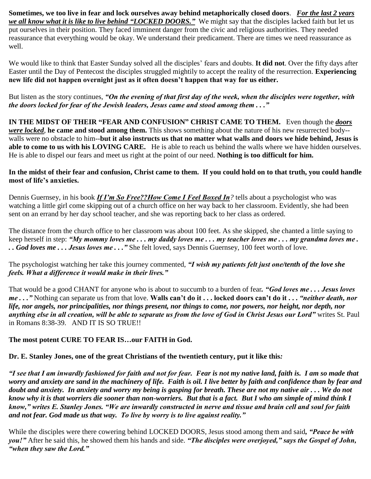**Sometimes, we too live in fear and lock ourselves away behind metaphorically closed doors**. *For the last 2 years we all know what it is like to live behind "LOCKED DOORS."* We might say that the disciples lacked faith but let us put ourselves in their position. They faced imminent danger from the civic and religious authorities. They needed reassurance that everything would be okay. We understand their predicament. There are times we need reassurance as well.

We would like to think that Easter Sunday solved all the disciples' fears and doubts. **It did not**. Over the fifty days after Easter until the Day of Pentecost the disciples struggled mightily to accept the reality of the resurrection. **Experiencing new life did not happen overnight just as it often doesn't happen that way for us either.**

But listen as the story continues, *"On the evening of that first day of the week, when the disciples were together, with the doors locked for fear of the Jewish leaders, Jesus came and stood among them . . ."*

**IN THE MIDST OF THEIR "FEAR AND CONFUSION" CHRIST CAME TO THEM.** Even though the *doors were locked*, **he came and stood among them.** This shows something about the nature of his new resurrected body- walls were no obstacle to him--**but it also instructs us that no matter what walls and doors we hide behind, Jesus is able to come to us with his LOVING CARE.** He is able to reach us behind the walls where we have hidden ourselves. He is able to dispel our fears and meet us right at the point of our need. **Nothing is too difficult for him.**

### **In the midst of their fear and confusion, Christ came to them. If you could hold on to that truth, you could handle most of life's anxieties.**

Dennis Guernsey, in his book *If I'm So Free??How Come I Feel Boxed In?* tells about a psychologist who was watching a little girl come skipping out of a church office on her way back to her classroom. Evidently, she had been sent on an errand by her day school teacher, and she was reporting back to her class as ordered.

The distance from the church office to her classroom was about 100 feet. As she skipped, she chanted a little saying to keep herself in step: *"My mommy loves me . . . my daddy loves me . . . my teacher loves me . . . my grandma loves me . . . God loves me . . . Jesus loves me . . ."* She felt loved, says Dennis Guernsey, 100 feet worth of love.

The psychologist watching her take this journey commented, *"I wish my patients felt just one/tenth of the love she feels. What a difference it would make in their lives."* 

That would be a good CHANT for anyone who is about to succumb to a burden of fear*. "God loves me . . . Jesus loves me . . ."* Nothing can separate us from that love. **Walls can't do it . . . locked doors can't do it . . .** *"neither death, nor life, nor angels, nor principalities, nor things present, nor things to come, nor powers, nor height, nor depth, nor anything else in all creation, will be able to separate us from the love of God in Christ Jesus our Lord"* writes St. Paul in Romans 8:38-39. AND IT IS SO TRUE!!

# **The most potent CURE TO FEAR IS…our FAITH in God.**

**Dr. E. Stanley Jones, one of the great Christians of the twentieth century, put it like this***:* 

*"I see that I am inwardly fashioned for faith and not for fear. Fear is not my native land, faith is. I am so made that worry and anxiety are sand in the machinery of life. Faith is oil. I live better by faith and confidence than by fear and doubt and anxiety. In anxiety and worry my being is gasping for breath. These are not my native air . . . We do not know why it is that worriers die sooner than non-worriers. But that is a fact. But I who am simple of mind think I know," writes E. Stanley Jones. "We are inwardly constructed in nerve and tissue and brain cell and soul for faith and not fear. God made us that way. To live by worry is to live against reality."* 

While the disciples were there cowering behind LOCKED DOORS, Jesus stood among them and said*, "Peace be with you!"* After he said this, he showed them his hands and side. *"The disciples were overjoyed," says the Gospel of John, "when they saw the Lord."*